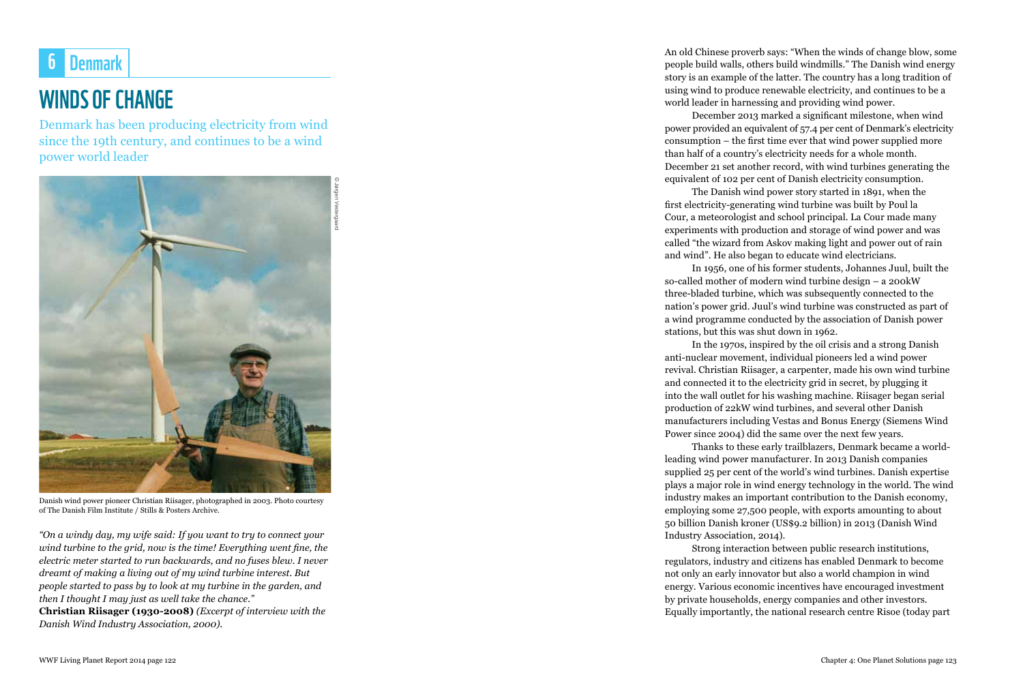## 6 Denmark

Denmark has been producing electricity from wind since the 19th century, and continues to be a wind **WINDS OF CHANGE**<br>Denmark has been prod<br>since the 19th century, a<br>power world leader



Danish wind power pioneer Christian Riisager, photographed in 2003. Photo courtesy of The Danish Film Institute / Stills & Posters Archive.

*"On a windy day, my wife said: If you want to try to connect your wind turbine to the grid, now is the time! Everything went fine, the electric meter started to run backwards, and no fuses blew. I never dreamt of making a living out of my wind turbine interest. But people started to pass by to look at my turbine in the garden, and then I thought I may just as well take the chance."* **Christian Riisager (1930-2008)** *(Excerpt of interview with the*  An old Chinese proverb says: "When the winds of change blow, some people build walls, others build windmills." The Danish wind energy story is an example of the latter. The country has a long tradition of using wind to produce renewable electricity, and continues to be a world leader in harnessing and providing wind power.

December 2013 marked a significant milestone, when wind power provided an equivalent of 57.4 per cent of Denmark's electricity consumption – the first time ever that wind power supplied more than half of a country's electricity needs for a whole month. December 21 set another record, with wind turbines generating the equivalent of 102 per cent of Danish electricity consumption.

The Danish wind power story started in 1891, when the first electricity-generating wind turbine was built by Poul la Cour, a meteorologist and school principal. La Cour made many experiments with production and storage of wind power and was called "the wizard from Askov making light and power out of rain and wind". He also began to educate wind electricians.

In 1956, one of his former students, Johannes Juul, built the so-called mother of modern wind turbine design – a 200kW three-bladed turbine, which was subsequently connected to the nation's power grid. Juul's wind turbine was constructed as part of a wind programme conducted by the association of Danish power stations, but this was shut down in 1962.

In the 1970s, inspired by the oil crisis and a strong Danish anti-nuclear movement, individual pioneers led a wind power revival. Christian Riisager, a carpenter, made his own wind turbine and connected it to the electricity grid in secret, by plugging it into the wall outlet for his washing machine. Riisager began serial production of 22kW wind turbines, and several other Danish manufacturers including Vestas and Bonus Energy (Siemens Wind Power since 2004) did the same over the next few years.

Thanks to these early trailblazers, Denmark became a worldleading wind power manufacturer. In 2013 Danish companies supplied 25 per cent of the world's wind turbines. Danish expertise plays a major role in wind energy technology in the world. The wind industry makes an important contribution to the Danish economy, employing some 27,500 people, with exports amounting to about 50 billion Danish kroner (US\$9.2 billion) in 2013 (Danish Wind Industry Association, 2014).

Strong interaction between public research institutions, regulators, industry and citizens has enabled Denmark to become not only an early innovator but also a world champion in wind energy. Various economic incentives have encouraged investment by private households, energy companies and other investors. Equally importantly, the national research centre Risoe (today part

*Danish Wind Industry Association, 2000).*